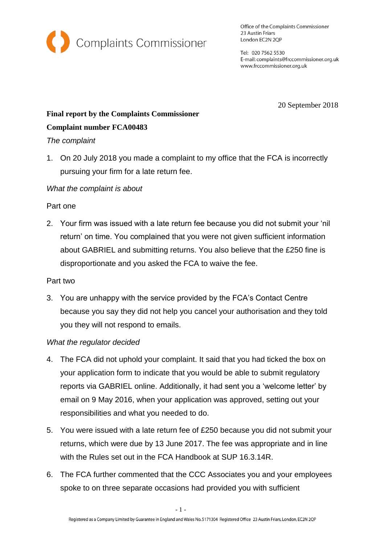

Office of the Complaints Commissioner 23 Austin Friars London EC2N 2QP

Tel: 020 7562 5530 E-mail: complaints@frccommissioner.org.uk www.frccommissioner.org.uk

20 September 2018

## **Final report by the Complaints Commissioner**

## **Complaint number FCA00483**

## *The complaint*

1. On 20 July 2018 you made a complaint to my office that the FCA is incorrectly pursuing your firm for a late return fee.

# *What the complaint is about*

## Part one

2. Your firm was issued with a late return fee because you did not submit your 'nil return' on time. You complained that you were not given sufficient information about GABRIEL and submitting returns. You also believe that the £250 fine is disproportionate and you asked the FCA to waive the fee.

#### Part two

3. You are unhappy with the service provided by the FCA's Contact Centre because you say they did not help you cancel your authorisation and they told you they will not respond to emails.

# *What the regulator decided*

- 4. The FCA did not uphold your complaint. It said that you had ticked the box on your application form to indicate that you would be able to submit regulatory reports via GABRIEL online. Additionally, it had sent you a 'welcome letter' by email on 9 May 2016, when your application was approved, setting out your responsibilities and what you needed to do.
- 5. You were issued with a late return fee of £250 because you did not submit your returns, which were due by 13 June 2017. The fee was appropriate and in line with the Rules set out in the FCA Handbook at SUP 16.3.14R.
- 6. The FCA further commented that the CCC Associates you and your employees spoke to on three separate occasions had provided you with sufficient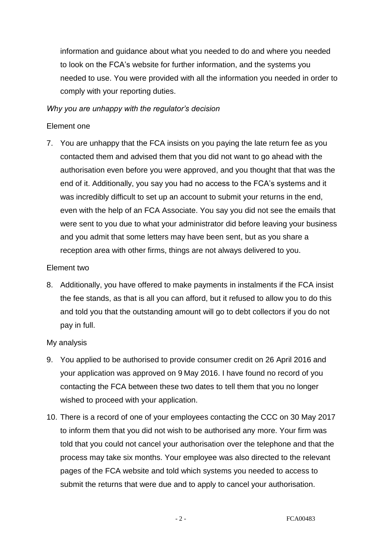information and guidance about what you needed to do and where you needed to look on the FCA's website for further information, and the systems you needed to use. You were provided with all the information you needed in order to comply with your reporting duties.

## *Why you are unhappy with the regulator's decision*

## Element one

7. You are unhappy that the FCA insists on you paying the late return fee as you contacted them and advised them that you did not want to go ahead with the authorisation even before you were approved, and you thought that that was the end of it. Additionally, you say you had no access to the FCA's systems and it was incredibly difficult to set up an account to submit your returns in the end, even with the help of an FCA Associate. You say you did not see the emails that were sent to you due to what your administrator did before leaving your business and you admit that some letters may have been sent, but as you share a reception area with other firms, things are not always delivered to you.

## Element two

8. Additionally, you have offered to make payments in instalments if the FCA insist the fee stands, as that is all you can afford, but it refused to allow you to do this and told you that the outstanding amount will go to debt collectors if you do not pay in full.

#### My analysis

- 9. You applied to be authorised to provide consumer credit on 26 April 2016 and your application was approved on 9 May 2016. I have found no record of you contacting the FCA between these two dates to tell them that you no longer wished to proceed with your application.
- 10. There is a record of one of your employees contacting the CCC on 30 May 2017 to inform them that you did not wish to be authorised any more. Your firm was told that you could not cancel your authorisation over the telephone and that the process may take six months. Your employee was also directed to the relevant pages of the FCA website and told which systems you needed to access to submit the returns that were due and to apply to cancel your authorisation.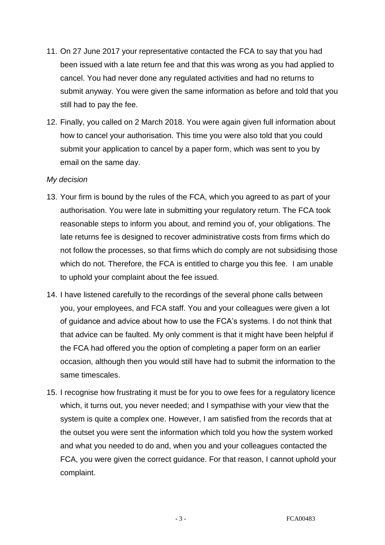- 11. On 27 June 2017 your representative contacted the FCA to say that you had been issued with a late return fee and that this was wrong as you had applied to cancel. You had never done any regulated activities and had no returns to submit anyway. You were given the same information as before and told that you still had to pay the fee.
- 12. Finally, you called on 2 March 2018. You were again given full information about how to cancel your authorisation. This time you were also told that you could submit your application to cancel by a paper form, which was sent to you by email on the same day.

#### *My decision*

- 13. Your firm is bound by the rules of the FCA, which you agreed to as part of your authorisation. You were late in submitting your regulatory return. The FCA took reasonable steps to inform you about, and remind you of, your obligations. The late returns fee is designed to recover administrative costs from firms which do not follow the processes, so that firms which do comply are not subsidising those which do not. Therefore, the FCA is entitled to charge you this fee. I am unable to uphold your complaint about the fee issued.
- 14. I have listened carefully to the recordings of the several phone calls between you, your employees, and FCA staff. You and your colleagues were given a lot of guidance and advice about how to use the FCA's systems. I do not think that that advice can be faulted. My only comment is that it might have been helpful if the FCA had offered you the option of completing a paper form on an earlier occasion, although then you would still have had to submit the information to the same timescales.
- 15. I recognise how frustrating it must be for you to owe fees for a regulatory licence which, it turns out, you never needed; and I sympathise with your view that the system is quite a complex one. However, I am satisfied from the records that at the outset you were sent the information which told you how the system worked and what you needed to do and, when you and your colleagues contacted the FCA, you were given the correct guidance. For that reason, I cannot uphold your complaint.